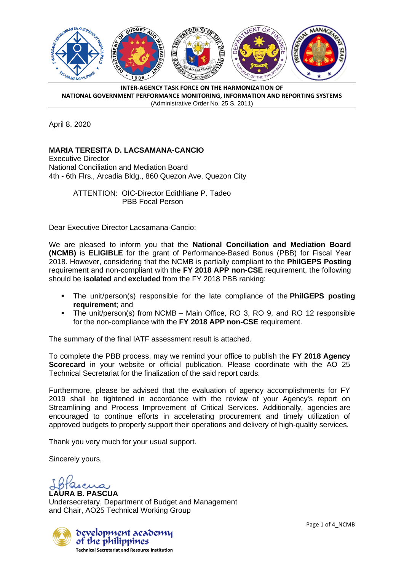

**INTER-AGENCY TASK FORCE ON THE HARMONIZATION OF NATIONAL GOVERNMENT PERFORMANCE MONITORING, INFORMATION AND REPORTING SYSTEMS** (Administrative Order No. 25 S. 2011)

April 8, 2020

## **MARIA TERESITA D. LACSAMANA-CANCIO**

Executive Director National Conciliation and Mediation Board 4th - 6th Flrs., Arcadia Bldg., 860 Quezon Ave. Quezon City

> ATTENTION: OIC-Director Edithliane P. Tadeo PBB Focal Person

Dear Executive Director Lacsamana-Cancio:

We are pleased to inform you that the **National Conciliation and Mediation Board (NCMB)** is **ELIGIBLE** for the grant of Performance-Based Bonus (PBB) for Fiscal Year 2018. However, considering that the NCMB is partially compliant to the **PhilGEPS Posting** requirement and non-compliant with the **FY 2018 APP non-CSE** requirement, the following should be **isolated** and **excluded** from the FY 2018 PBB ranking:

- The unit/person(s) responsible for the late compliance of the **PhilGEPS posting requirement**; and
- The unit/person(s) from NCMB Main Office, RO 3, RO 9, and RO 12 responsible for the non-compliance with the **FY 2018 APP non-CSE** requirement.

The summary of the final IATF assessment result is attached.

To complete the PBB process, may we remind your office to publish the **FY 2018 Agency Scorecard** in your website or official publication. Please coordinate with the AO 25 Technical Secretariat for the finalization of the said report cards.

Furthermore, please be advised that the evaluation of agency accomplishments for FY 2019 shall be tightened in accordance with the review of your Agency's report on Streamlining and Process Improvement of Critical Services. Additionally, agencies are encouraged to continue efforts in accelerating procurement and timely utilization of approved budgets to properly support their operations and delivery of high-quality services.

Thank you very much for your usual support.

Sincerely yours,

**IRA B. PASCUA** Undersecretary, Department of Budget and Management and Chair, AO25 Technical Working Group



Page 1 of 4 NCMB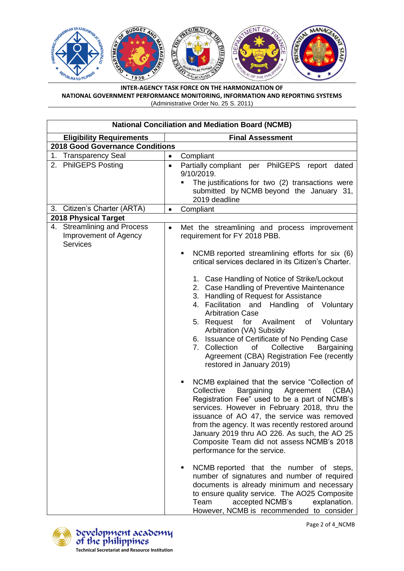

**INTER-AGENCY TASK FORCE ON THE HARMONIZATION OF NATIONAL GOVERNMENT PERFORMANCE MONITORING, INFORMATION AND REPORTING SYSTEMS** (Administrative Order No. 25 S. 2011)

| <b>National Conciliation and Mediation Board (NCMB)</b>                 |                                                                                                                                                                                                                                                                                                                                                                                                                                                                       |  |  |  |
|-------------------------------------------------------------------------|-----------------------------------------------------------------------------------------------------------------------------------------------------------------------------------------------------------------------------------------------------------------------------------------------------------------------------------------------------------------------------------------------------------------------------------------------------------------------|--|--|--|
| <b>Eligibility Requirements</b>                                         | <b>Final Assessment</b>                                                                                                                                                                                                                                                                                                                                                                                                                                               |  |  |  |
| <b>2018 Good Governance Conditions</b>                                  |                                                                                                                                                                                                                                                                                                                                                                                                                                                                       |  |  |  |
| 1. Transparency Seal                                                    | Compliant<br>$\bullet$                                                                                                                                                                                                                                                                                                                                                                                                                                                |  |  |  |
| <b>PhilGEPS Posting</b><br>2.                                           | Partially compliant per PhilGEPS report<br>dated<br>$\bullet$<br>9/10/2019.<br>The justifications for two (2) transactions were<br>submitted by NCMB beyond the January 31,<br>2019 deadline                                                                                                                                                                                                                                                                          |  |  |  |
| 3. Citizen's Charter (ARTA)                                             | Compliant<br>$\bullet$                                                                                                                                                                                                                                                                                                                                                                                                                                                |  |  |  |
| <b>2018 Physical Target</b>                                             |                                                                                                                                                                                                                                                                                                                                                                                                                                                                       |  |  |  |
| 4. Streamlining and Process<br>Improvement of Agency<br><b>Services</b> | Met the streamlining and process improvement<br>$\bullet$<br>requirement for FY 2018 PBB.                                                                                                                                                                                                                                                                                                                                                                             |  |  |  |
|                                                                         | NCMB reported streamlining efforts for six (6)<br>critical services declared in its Citizen's Charter.                                                                                                                                                                                                                                                                                                                                                                |  |  |  |
|                                                                         | 1. Case Handling of Notice of Strike/Lockout<br>2. Case Handling of Preventive Maintenance<br>3. Handling of Request for Assistance<br>4. Facilitation and Handling of Voluntary<br><b>Arbitration Case</b><br>5. Request for Availment<br>of<br>Voluntary<br>Arbitration (VA) Subsidy<br>6. Issuance of Certificate of No Pending Case<br>Collective<br>7. Collection<br>of<br>Bargaining<br>Agreement (CBA) Registration Fee (recently<br>restored in January 2019) |  |  |  |
|                                                                         | NCMB explained that the service "Collection of<br>٠<br>Collective<br>Bargaining<br>Agreement (CBA)<br>Registration Fee" used to be a part of NCMB's<br>services. However in February 2018, thru the<br>issuance of AO 47, the service was removed<br>from the agency. It was recently restored around<br>January 2019 thru AO 226. As such, the AO 25<br>Composite Team did not assess NCMB's 2018<br>performance for the service.                                    |  |  |  |
|                                                                         | NCMB reported that the number of steps,<br>number of signatures and number of required<br>documents is already minimum and necessary<br>to ensure quality service. The AO25 Composite<br>Team<br>accepted NCMB's<br>explanation.<br>However, NCMB is recommended to consider                                                                                                                                                                                          |  |  |  |



bevelopment acabemy<br>of the philippines **Technical Secretariat and Resource Institution**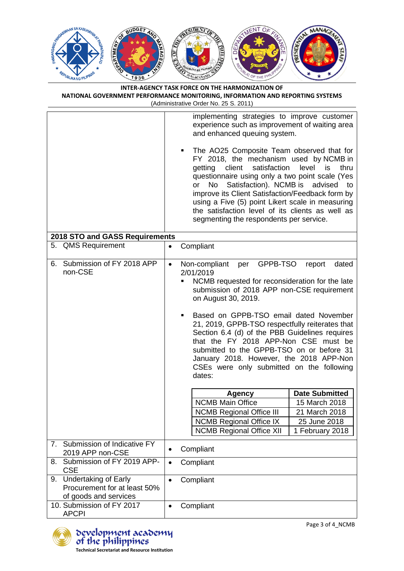

| INTER-AGENCY TASK FORCE ON THE HARMONIZATION OF                               |
|-------------------------------------------------------------------------------|
| NATIONAL GOVERNMENT PERFORMANCE MONITORING. INFORMATION AND REPORTING SYSTEMS |
| (Administrative Order No. 25 S. 2011)                                         |

|    |                                                                                      |           | implementing strategies to improve customer<br>experience such as improvement of waiting area<br>and enhanced queuing system.                                                                                                                                                                                                                                                                                                                                                                                                |                                          |
|----|--------------------------------------------------------------------------------------|-----------|------------------------------------------------------------------------------------------------------------------------------------------------------------------------------------------------------------------------------------------------------------------------------------------------------------------------------------------------------------------------------------------------------------------------------------------------------------------------------------------------------------------------------|------------------------------------------|
|    |                                                                                      |           | The AO25 Composite Team observed that for<br>FY 2018, the mechanism used by NCMB in<br>satisfaction<br>client<br>getting<br>questionnaire using only a two point scale (Yes<br>Satisfaction). NCMB is<br>No<br>or<br>improve its Client Satisfaction/Feedback form by<br>using a Five (5) point Likert scale in measuring<br>the satisfaction level of its clients as well as<br>segmenting the respondents per service.                                                                                                     | level<br>is<br>thru<br>advised<br>to     |
|    | 2018 STO and GASS Requirements                                                       |           |                                                                                                                                                                                                                                                                                                                                                                                                                                                                                                                              |                                          |
|    | 5. QMS Requirement                                                                   | $\bullet$ | Compliant                                                                                                                                                                                                                                                                                                                                                                                                                                                                                                                    |                                          |
| 6. | Submission of FY 2018 APP<br>non-CSE                                                 | $\bullet$ | GPPB-TSO<br>Non-compliant<br>per<br>2/01/2019<br>NCMB requested for reconsideration for the late<br>submission of 2018 APP non-CSE requirement<br>on August 30, 2019.<br>Based on GPPB-TSO email dated November<br>21, 2019, GPPB-TSO respectfully reiterates that<br>Section 6.4 (d) of the PBB Guidelines requires<br>that the FY 2018 APP-Non CSE must be<br>submitted to the GPPB-TSO on or before 31<br>January 2018. However, the 2018 APP-Non<br>CSEs were only submitted on the following<br>dates:<br><b>Agency</b> | dated<br>report<br><b>Date Submitted</b> |
|    |                                                                                      |           | <b>NCMB Main Office</b>                                                                                                                                                                                                                                                                                                                                                                                                                                                                                                      | 15 March 2018                            |
|    |                                                                                      |           | <b>NCMB Regional Office III</b>                                                                                                                                                                                                                                                                                                                                                                                                                                                                                              | 21 March 2018                            |
|    |                                                                                      |           | <b>NCMB Regional Office IX</b>                                                                                                                                                                                                                                                                                                                                                                                                                                                                                               | 25 June 2018                             |
|    |                                                                                      |           | <b>NCMB Regional Office XII</b>                                                                                                                                                                                                                                                                                                                                                                                                                                                                                              | 1 February 2018                          |
| 7. | Submission of Indicative FY<br>2019 APP non-CSE                                      |           | Compliant                                                                                                                                                                                                                                                                                                                                                                                                                                                                                                                    |                                          |
| 8. | Submission of FY 2019 APP-<br><b>CSE</b>                                             | $\bullet$ | Compliant                                                                                                                                                                                                                                                                                                                                                                                                                                                                                                                    |                                          |
| 9. | <b>Undertaking of Early</b><br>Procurement for at least 50%<br>of goods and services | $\bullet$ | Compliant                                                                                                                                                                                                                                                                                                                                                                                                                                                                                                                    |                                          |
|    | 10. Submission of FY 2017<br><b>APCPI</b>                                            | $\bullet$ | Compliant                                                                                                                                                                                                                                                                                                                                                                                                                                                                                                                    |                                          |



Page 3 of 4\_NCMB